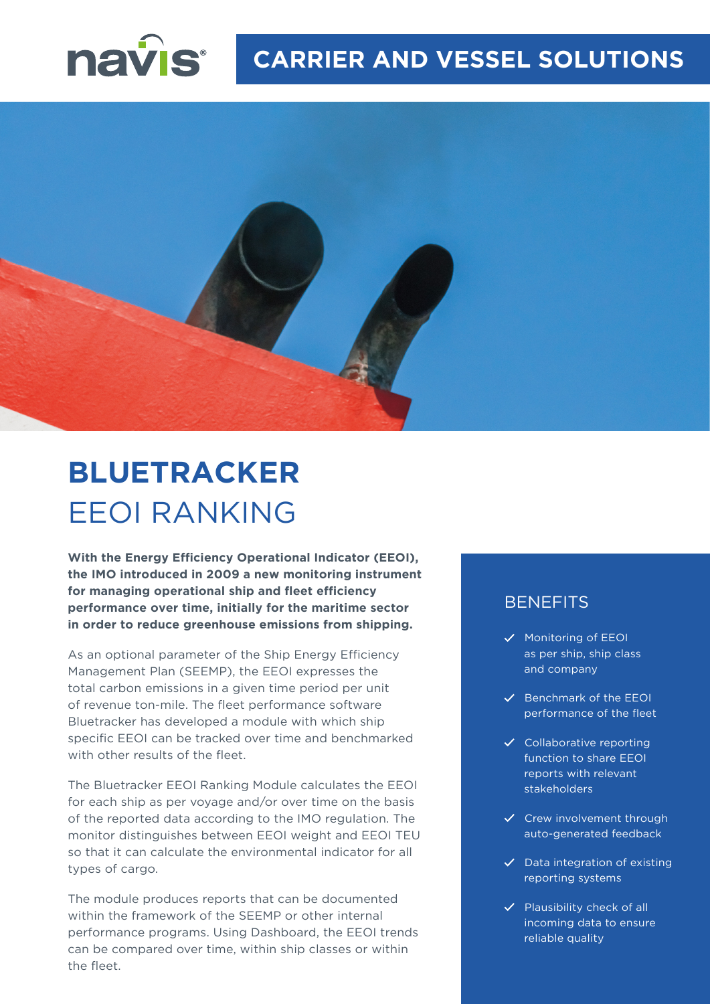



# **BLUETRACKER** EEOI RANKING

**With the Energy Efficiency Operational Indicator (EEOI), the IMO introduced in 2009 a new monitoring instrument for managing operational ship and fleet efficiency performance over time, initially for the maritime sector in order to reduce greenhouse emissions from shipping.**

As an optional parameter of the Ship Energy Efficiency Management Plan (SEEMP), the EEOI expresses the total carbon emissions in a given time period per unit of revenue ton-mile. The fleet performance software Bluetracker has developed a module with which ship specific EEOI can be tracked over time and benchmarked with other results of the fleet.

The Bluetracker EEOI Ranking Module calculates the EEOI for each ship as per voyage and/or over time on the basis of the reported data according to the IMO regulation. The monitor distinguishes between EEOI weight and EEOI TEU so that it can calculate the environmental indicator for all types of cargo.

The module produces reports that can be documented within the framework of the SEEMP or other internal performance programs. Using Dashboard, the EEOI trends can be compared over time, within ship classes or within the fleet.

### **BENEFITS**

- $\checkmark$  Monitoring of EEOI as per ship, ship class and company
- $\checkmark$  Benchmark of the EEOI performance of the fleet
- $\checkmark$  Collaborative reporting function to share EEOI reports with relevant stakeholders
- $\checkmark$  Crew involvement through auto-generated feedback
- $\checkmark$  Data integration of existing reporting systems
- $\checkmark$  Plausibility check of all incoming data to ensure reliable quality